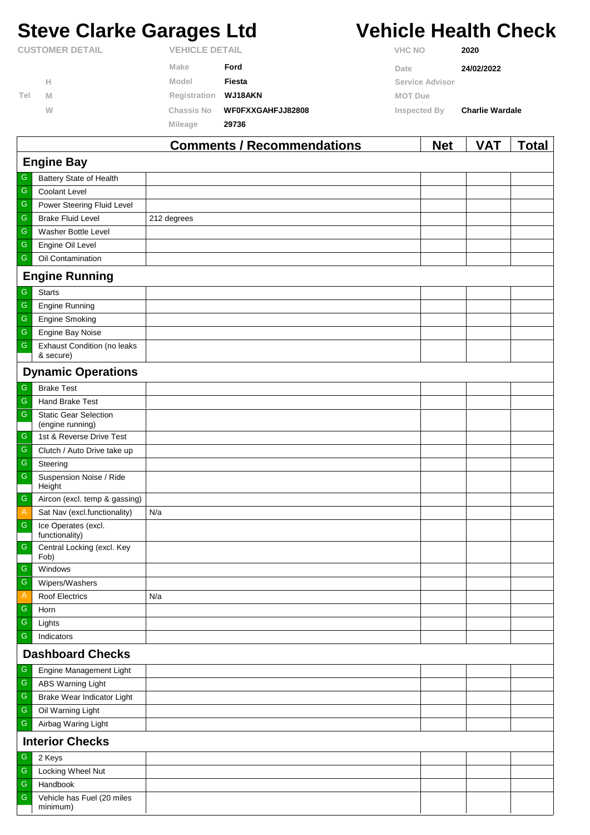# **Steve Clarke Garages Ltd Vehicle Health Check**

|                        |   |                       | Commonts / Recommondations |                 | <b>Nat</b> | VΔT                    | Total |
|------------------------|---|-----------------------|----------------------------|-----------------|------------|------------------------|-------|
|                        |   | <b>Mileage</b>        | 29736                      |                 |            |                        |       |
|                        | W | Chassis No            | WF0FXXGAHFJJ82808          | Inspected By    |            | <b>Charlie Wardale</b> |       |
| Tel                    | M | Registration          | WJ18AKN                    | <b>MOT Due</b>  |            |                        |       |
|                        | Н | Model                 | Fiesta                     | Service Advisor |            |                        |       |
|                        |   | Make                  | Ford                       | Date            |            | 24/02/2022             |       |
| <b>CUSTOMER DETAIL</b> |   | <b>VEHICLE DETAIL</b> |                            | <b>VHC NO</b>   |            | 2020                   |       |

|                         |                                                 | Comments / Recommendations | <b>Net</b> | <b>VAI</b> | <u>i</u> otal |  |  |  |
|-------------------------|-------------------------------------------------|----------------------------|------------|------------|---------------|--|--|--|
| <b>Engine Bay</b>       |                                                 |                            |            |            |               |  |  |  |
| G                       | Battery State of Health                         |                            |            |            |               |  |  |  |
| G                       | Coolant Level                                   |                            |            |            |               |  |  |  |
| ${\mathsf G}$           | Power Steering Fluid Level                      |                            |            |            |               |  |  |  |
| ${\mathbb G}$           | <b>Brake Fluid Level</b>                        | 212 degrees                |            |            |               |  |  |  |
| ${\mathsf G}$           | Washer Bottle Level                             |                            |            |            |               |  |  |  |
| ${\mathsf G}$           | Engine Oil Level                                |                            |            |            |               |  |  |  |
| ${\mathbb G}$           | Oil Contamination                               |                            |            |            |               |  |  |  |
|                         | <b>Engine Running</b>                           |                            |            |            |               |  |  |  |
| ${\mathbb G}$           | <b>Starts</b>                                   |                            |            |            |               |  |  |  |
| G                       | <b>Engine Running</b>                           |                            |            |            |               |  |  |  |
| ${\mathsf G}$           | <b>Engine Smoking</b>                           |                            |            |            |               |  |  |  |
| ${\mathsf G}$           | Engine Bay Noise                                |                            |            |            |               |  |  |  |
| ${\mathsf G}$           | <b>Exhaust Condition (no leaks</b><br>& secure) |                            |            |            |               |  |  |  |
|                         | <b>Dynamic Operations</b>                       |                            |            |            |               |  |  |  |
| ${\mathsf G}$           | <b>Brake Test</b>                               |                            |            |            |               |  |  |  |
| G                       | Hand Brake Test                                 |                            |            |            |               |  |  |  |
| ${\mathsf G}$           | <b>Static Gear Selection</b>                    |                            |            |            |               |  |  |  |
|                         | (engine running)                                |                            |            |            |               |  |  |  |
| G                       | 1st & Reverse Drive Test                        |                            |            |            |               |  |  |  |
| ${\mathbb G}$           | Clutch / Auto Drive take up                     |                            |            |            |               |  |  |  |
| ${\mathsf G}$           | Steering                                        |                            |            |            |               |  |  |  |
| ${\mathsf G}$           | Suspension Noise / Ride<br>Height               |                            |            |            |               |  |  |  |
| $\mathsf{G}$            | Aircon (excl. temp & gassing)                   |                            |            |            |               |  |  |  |
| Α                       | Sat Nav (excl.functionality)                    | N/a                        |            |            |               |  |  |  |
| ${\mathsf G}$           | Ice Operates (excl.<br>functionality)           |                            |            |            |               |  |  |  |
| ${\mathsf G}$           | Central Locking (excl. Key                      |                            |            |            |               |  |  |  |
| ${\mathsf G}$           | Fob)<br>Windows                                 |                            |            |            |               |  |  |  |
| ${\mathsf G}$           | Wipers/Washers                                  |                            |            |            |               |  |  |  |
| Α                       | <b>Roof Electrics</b>                           | N/a                        |            |            |               |  |  |  |
| ${\mathbb G}$           | Horn                                            |                            |            |            |               |  |  |  |
| ${\mathsf G}$           | Lights                                          |                            |            |            |               |  |  |  |
| G                       | Indicators                                      |                            |            |            |               |  |  |  |
| <b>Dashboard Checks</b> |                                                 |                            |            |            |               |  |  |  |
| G                       | Engine Management Light                         |                            |            |            |               |  |  |  |
| ${\mathsf G}$           | <b>ABS Warning Light</b>                        |                            |            |            |               |  |  |  |
| G                       | Brake Wear Indicator Light                      |                            |            |            |               |  |  |  |
| ${\mathsf G}$           | Oil Warning Light                               |                            |            |            |               |  |  |  |
| ${\mathsf G}$           | Airbag Waring Light                             |                            |            |            |               |  |  |  |
| <b>Interior Checks</b>  |                                                 |                            |            |            |               |  |  |  |
| ${\mathsf G}$           | 2 Keys                                          |                            |            |            |               |  |  |  |
| ${\mathbb G}$           | Locking Wheel Nut                               |                            |            |            |               |  |  |  |
| G                       | Handbook                                        |                            |            |            |               |  |  |  |
| G                       | Vehicle has Fuel (20 miles<br>minimum)          |                            |            |            |               |  |  |  |